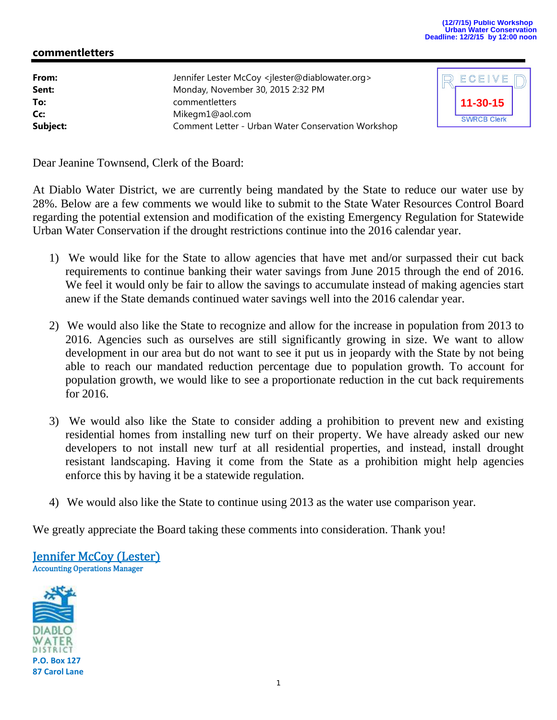## **(12/7/15) Public Workshop Urban Water Conservation Deadline: 12/2/15 by 12:00 noon**

## **commentletters**

| From:<br>Sent: | Jennifer Lester McCoy <jlester@diablowater.org><br/>Monday, November 30, 2015 2:32 PM</jlester@diablowater.org> |
|----------------|-----------------------------------------------------------------------------------------------------------------|
| To:            | commentletters                                                                                                  |
| Cc:            | Mikegm1@aol.com                                                                                                 |
| Subject:       | Comment Letter - Urban Water Conservation Workshop                                                              |



Dear Jeanine Townsend, Clerk of the Board:

At Diablo Water District, we are currently being mandated by the State to reduce our water use by 28%. Below are a few comments we would like to submit to the State Water Resources Control Board regarding the potential extension and modification of the existing Emergency Regulation for Statewide Urban Water Conservation if the drought restrictions continue into the 2016 calendar year.

- 1) We would like for the State to allow agencies that have met and/or surpassed their cut back requirements to continue banking their water savings from June 2015 through the end of 2016. We feel it would only be fair to allow the savings to accumulate instead of making agencies start anew if the State demands continued water savings well into the 2016 calendar year.
- 2) We would also like the State to recognize and allow for the increase in population from 2013 to 2016. Agencies such as ourselves are still significantly growing in size. We want to allow development in our area but do not want to see it put us in jeopardy with the State by not being able to reach our mandated reduction percentage due to population growth. To account for population growth, we would like to see a proportionate reduction in the cut back requirements for 2016.
- 3) We would also like the State to consider adding a prohibition to prevent new and existing residential homes from installing new turf on their property. We have already asked our new developers to not install new turf at all residential properties, and instead, install drought resistant landscaping. Having it come from the State as a prohibition might help agencies enforce this by having it be a statewide regulation.
- 4) We would also like the State to continue using 2013 as the water use comparison year.

We greatly appreciate the Board taking these comments into consideration. Thank you!

**Jennifer McCoy (Lester)** Accounting Operations Manager